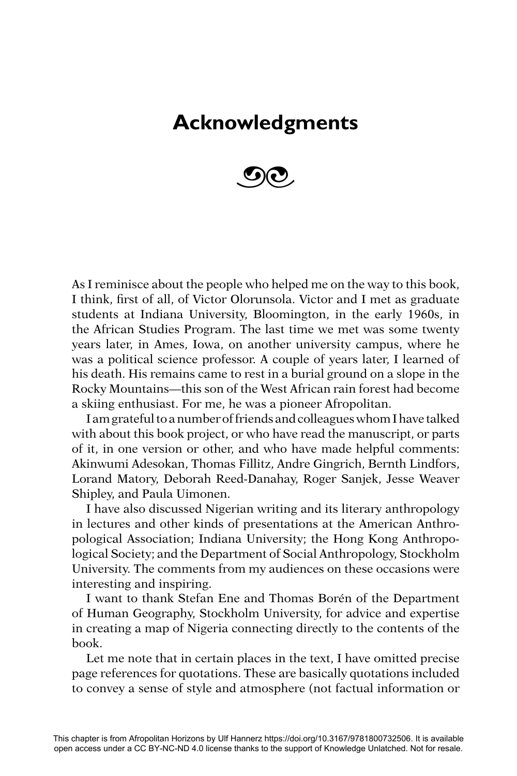## **Acknowledgments**



As I reminisce about the people who helped me on the way to this book, I think, first of all, of Victor Olorunsola. Victor and I met as graduate students at Indiana University, Bloomington, in the early 1960s, in the African Studies Program. The last time we met was some twenty years later, in Ames, Iowa, on another university campus, where he was a political science professor. A couple of years later, I learned of his death. His remains came to rest in a burial ground on a slope in the Rocky Mountains—this son of the West African rain forest had become a skiing enthusiast. For me, he was a pioneer Afropolitan.

I am grateful to a number of friends and colleagues whom I have talked with about this book project, or who have read the manuscript, or parts of it, in one version or other, and who have made helpful comments: Akinwumi Adesokan, Thomas Fillitz, Andre Gingrich, Bernth Lindfors, Lorand Matory, Deborah Reed-Danahay, Roger Sanjek, Jesse Weaver Shipley, and Paula Uimonen.

I have also discussed Nigerian writing and its literary anthropology in lectures and other kinds of presentations at the American Anthropological Association; Indiana University; the Hong Kong Anthropological Society; and the Department of Social Anthropology, Stockholm University. The comments from my audiences on these occasions were interesting and inspiring.

I want to thank Stefan Ene and Thomas Borén of the Department of Human Geography, Stockholm University, for advice and expertise in creating a map of Nigeria connecting directly to the contents of the book.

Let me note that in certain places in the text, I have omitted precise page references for quotations. These are basically quotations included to convey a sense of style and atmosphere (not factual information or